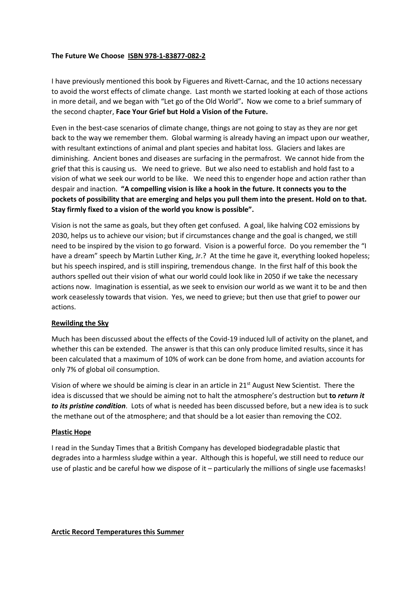## **The Future We Choose ISBN 978-1-83877-082-2**

I have previously mentioned this book by Figueres and Rivett-Carnac, and the 10 actions necessary to avoid the worst effects of climate change. Last month we started looking at each of those actions in more detail, and we began with "Let go of the Old World"**.** Now we come to a brief summary of the second chapter, **Face Your Grief but Hold a Vision of the Future.**

Even in the best-case scenarios of climate change, things are not going to stay as they are nor get back to the way we remember them. Global warming is already having an impact upon our weather, with resultant extinctions of animal and plant species and habitat loss. Glaciers and lakes are diminishing. Ancient bones and diseases are surfacing in the permafrost. We cannot hide from the grief that this is causing us. We need to grieve. But we also need to establish and hold fast to a vision of what we seek our world to be like. We need this to engender hope and action rather than despair and inaction. **"A compelling vision is like a hook in the future. It connects you to the pockets of possibility that are emerging and helps you pull them into the present. Hold on to that. Stay firmly fixed to a vision of the world you know is possible".**

Vision is not the same as goals, but they often get confused. A goal, like halving CO2 emissions by 2030, helps us to achieve our vision; but if circumstances change and the goal is changed, we still need to be inspired by the vision to go forward. Vision is a powerful force. Do you remember the "I have a dream" speech by Martin Luther King, Jr.? At the time he gave it, everything looked hopeless; but his speech inspired, and is still inspiring, tremendous change. In the first half of this book the authors spelled out their vision of what our world could look like in 2050 if we take the necessary actions now. Imagination is essential, as we seek to envision our world as we want it to be and then work ceaselessly towards that vision. Yes, we need to grieve; but then use that grief to power our actions.

## **Rewilding the Sky**

Much has been discussed about the effects of the Covid-19 induced lull of activity on the planet, and whether this can be extended. The answer is that this can only produce limited results, since it has been calculated that a maximum of 10% of work can be done from home, and aviation accounts for only 7% of global oil consumption.

Vision of where we should be aiming is clear in an article in 21<sup>st</sup> August New Scientist. There the idea is discussed that we should be aiming not to halt the atmosphere's destruction but **to** *return it to its pristine condition*. Lots of what is needed has been discussed before, but a new idea is to suck the methane out of the atmosphere; and that should be a lot easier than removing the CO2.

## **Plastic Hope**

I read in the Sunday Times that a British Company has developed biodegradable plastic that degrades into a harmless sludge within a year. Although this is hopeful, we still need to reduce our use of plastic and be careful how we dispose of it – particularly the millions of single use facemasks!